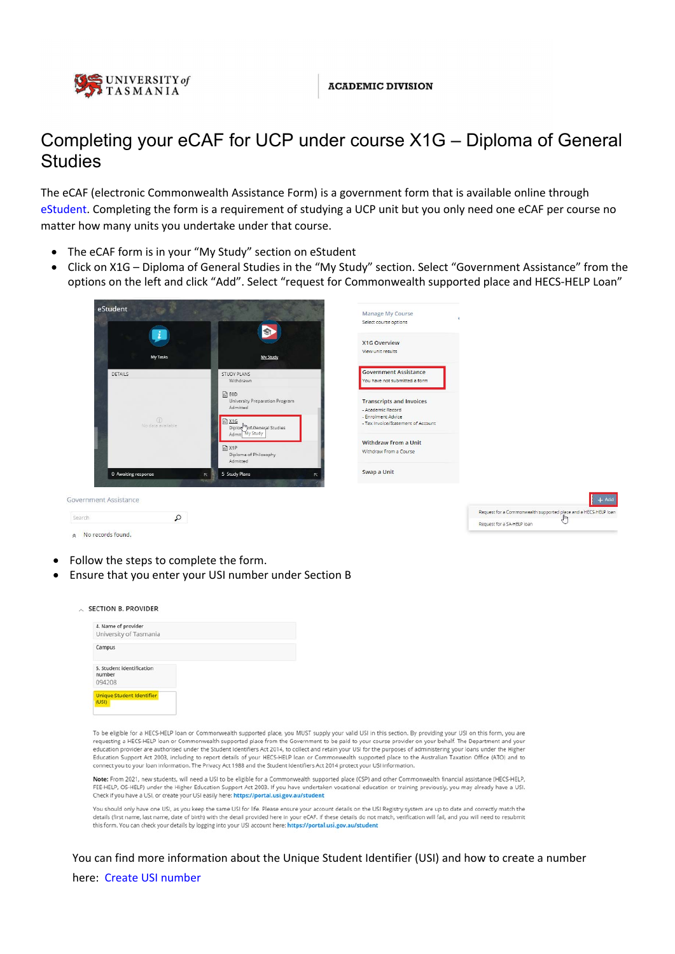

# Completing your eCAF for UCP under course X1G – Diploma of General **Studies**

The eCAF (electronic Commonwealth Assistance Form) is a government form that is available online through [eStudent.](https://estudent.utas.edu.au) Completing the form is a requirement of studying a UCP unit but you only need one eCAF per course no matter how many units you undertake under that course.

- The eCAF form is in your "My Study" section on eStudent
- Click on X1G Diploma of General Studies in the "My Study" section. Select "Government Assistance" from the options on the left and click "Add". Select "request for Commonwealth supported place and HECS-HELP Loan"

| Government Assistance<br>Search | $\Omega$                           |                                                                |                                                                   | $+$ Add<br>Request for a Commonwealth supported place and a HECS-HELP loan |
|---------------------------------|------------------------------------|----------------------------------------------------------------|-------------------------------------------------------------------|----------------------------------------------------------------------------|
|                                 | 0 Awaiting response                | 5 Study Plans<br>$\overline{\mathcal{N}}$<br>N<br><b>TENTI</b> | Swap a Unit                                                       |                                                                            |
|                                 |                                    | $\Box$ X1P<br>Diploma of Philosophy<br>Admitted                | <b>Withdraw From a Unit</b><br>Withdraw From a Course             |                                                                            |
|                                 | $\circled{1}$<br>No data available | <b>面 X1G</b><br>Diplor mof General Studies<br>Admit My Study   | - Enrolment Advice<br>- Tax Invoice/Statement of Account          |                                                                            |
|                                 |                                    | $\Box$ EOD<br>University Preparation Program<br>Admitted       | <b>Transcripts and Invoices</b><br>- Academic Record              |                                                                            |
| <b>DETAILS</b>                  |                                    | STUDY PLANS<br>Withdrawn                                       | You have not submitted a form                                     |                                                                            |
|                                 | My Tasks                           | My Study                                                       | X1G Overview<br>View unit results<br><b>Government Assistance</b> |                                                                            |
|                                 |                                    | S.                                                             | Select course options                                             |                                                                            |
| eStudent                        |                                    |                                                                | Manage My Course                                                  |                                                                            |

- Follow the steps to complete the form.
- Ensure that you enter your USI number under Section B

| 4. Name of provider<br>University of Tasmania |  |  |
|-----------------------------------------------|--|--|
| Campus                                        |  |  |
| 5. Student identification<br>number<br>094208 |  |  |
| <b>Unique Student Identifier</b>              |  |  |

To be eligible for a HECS-HELP loan or Commonwealth supported place, you MUST supply your valid USI in this section. By providing your USI on this form, you are requesting a HECS-HELP loan or Commonwealth supported place from the Government to be paid to your course provider on your behalf. The Department and your education provider are authorised under the Student Identifiers Act 2014, to collect and retain your USI for the purposes of administering your loans under the Higher<br>Education Support Act 2003, including to report details connect you to your loan information. The Privacy Act 1988 and the Student Identifiers Act 2014 protect your USI information.

Note: From 2021, new students, will need a USI to be eligible for a Commonwealth supported place (CSP) and other Commonwealth financial assistance (HECS-HELP, FEE-HELP, OS-HELP) under the Higher Education Support Act 2003. If you have undertaken vocational education or training previously, you may already have a USI. Check if you have a USI, or create your USI easily here: https://portal.usi.gov.au/student

You should only have one USI, as you keep the same USI for life. Please ensure your account details on the USI Registry system are up to date and correctly match the details (first name, last name, date of birth) with the detail provided here in your eCAF. If these details do not match, verification will fail, and you will need to resubmit this form. You can check your details by logging into your USI account here: https://portal.usi.gov.au/student

You can find more information about the Unique Student Identifier (USI) and how to create a number here: [Create USI number](https://askus.utas.edu.au/app/answers/detail/a_id/2262/~/what-is-a-unique-student-identifier-(usi)?)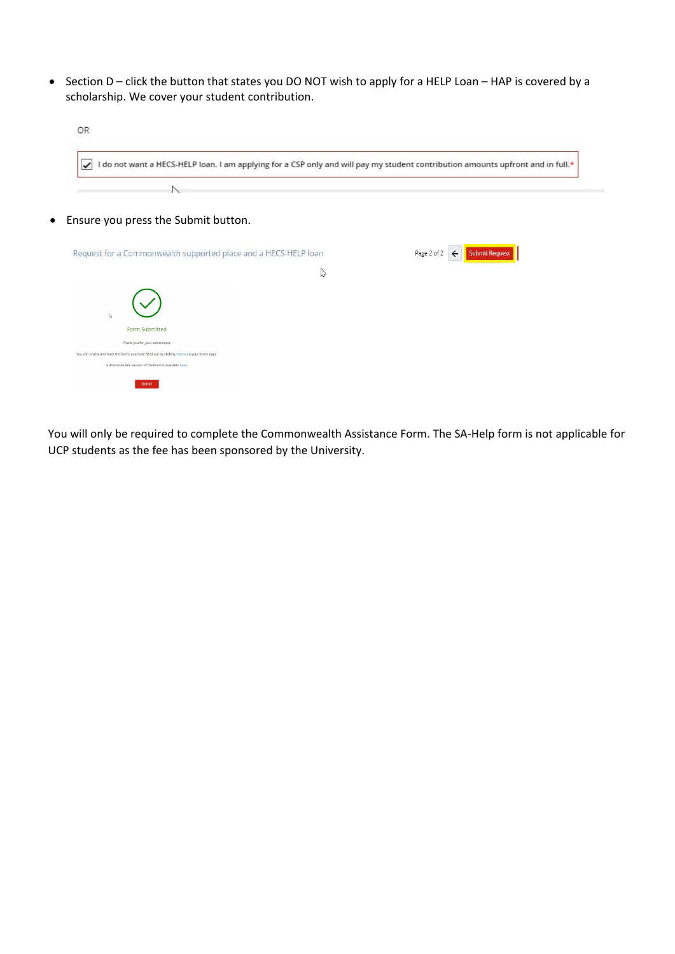• Section D – click the button that states you DO NOT wish to apply for a HELP Loan – HAP is covered by a scholarship. We cover your student contribution.

|                                                                                             | I do not want a HECS-HELP loan. I am applying for a CSP only and will pay my student contribution amounts upfront and in full.* |
|---------------------------------------------------------------------------------------------|---------------------------------------------------------------------------------------------------------------------------------|
|                                                                                             |                                                                                                                                 |
| • Ensure you press the Submit button.                                                       |                                                                                                                                 |
| Request for a Commonwealth supported place and a HECS-HELP loan                             | Page 2 of 2<br><b>Submit Request</b><br>$\leftarrow$                                                                            |
| $\mathbb{Z}$                                                                                |                                                                                                                                 |
| $\triangleright$                                                                            |                                                                                                                                 |
| <b>Form Submitted</b><br>Thank you for your submission.                                     |                                                                                                                                 |
| You can review and track the forms you have filled out by clicking Forms on your home page. |                                                                                                                                 |

You will only be required to complete the Commonwealth Assistance Form. The SA‐Help form is not applicable for UCP students as the fee has been sponsored by the University.